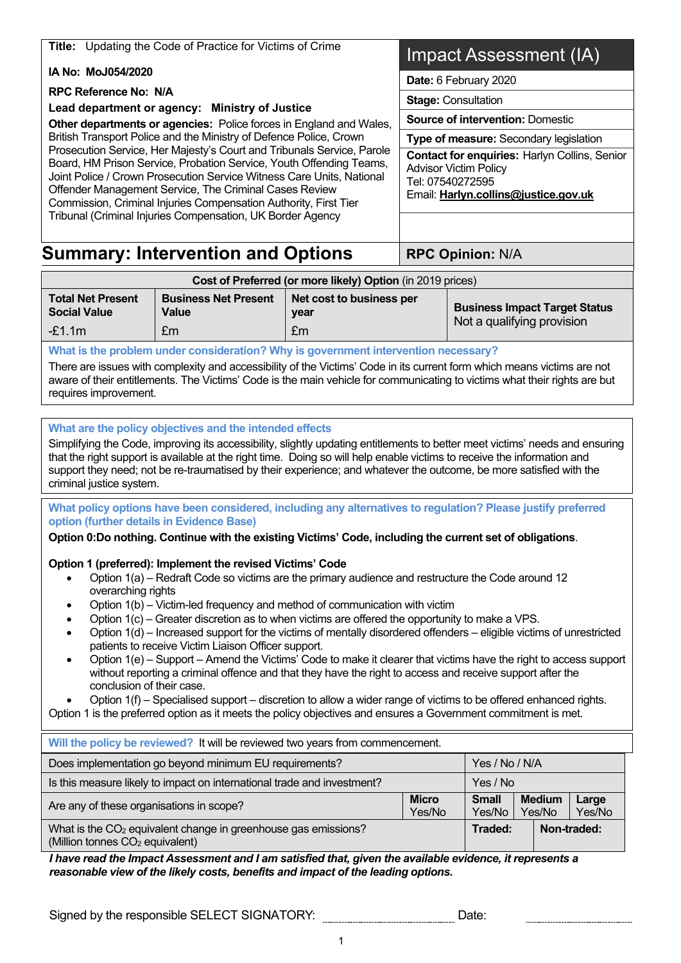**Title:** Updating the Code of Practice for Victims of Crime

 **IA No: MoJ054/2020** 

 **RPC Reference No: N/A** 

 **Lead department or agency: Ministry of Justice** 

 **Other departments or agencies:** Police forces in England and Wales, British Transport Police and the Ministry of Defence Police, Crown Prosecution Service, Her Majesty's Court and Tribunals Service, Parole Board, HM Prison Service, Probation Service, Youth Offending Teams, Joint Police / Crown Prosecution Service Witness Care Units, National Offender Management Service, The Criminal Cases Review Commission, Criminal Injuries Compensation Authority, First Tier Tribunal (Criminal Injuries Compensation, UK Border Agency

# Impact Assessment (IA)

**Date:** 6 February 2020

**Stage:** Consultation

 **Source of intervention:** Domestic

 **Type of measure:** Secondary legislation

 **Contact for enquiries:** Harlyn Collins, Senior Advisor Victim Policy Tel: 07540272595

Email: Harlyn.collins@justice.gov.uk

# **Summary: Intervention and Options | RPC Opinion: N/A**

| Cost of Preferred (or more likely) Option (in 2019 prices) |                                      |                                  |                                      |  |  |  |  |  |
|------------------------------------------------------------|--------------------------------------|----------------------------------|--------------------------------------|--|--|--|--|--|
| <b>Total Net Present</b><br><b>Social Value</b>            | <b>Business Net Present</b><br>Value | Net cost to business per<br>vear | <b>Business Impact Target Status</b> |  |  |  |  |  |
| $-£1.1m$                                                   | £m                                   | Em                               | Not a qualifying provision           |  |  |  |  |  |

#### **What is the problem under consideration? Why is government intervention necessary?**

 There are issues with complexity and accessibility of the Victims' Code in its current form which means victims are not aware of their entitlements. The Victims' Code is the main vehicle for communicating to victims what their rights are but requires improvement.

 **What are the policy objectives and the intended effects** 

 Simplifying the Code, improving its accessibility, slightly updating entitlements to better meet victims' needs and ensuring support they need; not be re-traumatised by their experience; and whatever the outcome, be more satisfied with the that the right support is available at the right time. Doing so will help enable victims to receive the information and criminal justice system.

 **What policy options have been considered, including any alternatives to regulation? Please justify preferred option (further details in Evidence Base)** 

 **Option 0:Do nothing. Continue with the existing Victims' Code, including the current set of obligations**.

### **Option 1 (preferred): Implement the revised Victims' Code**

- Option 1(a) Redraft Code so victims are the primary audience and restructure the Code around 12 overarching rights
- Option 1(b) Victim-led frequency and method of communication with victim
- Option 1(c) Greater discretion as to when victims are offered the opportunity to make a VPS.
- • Option 1(d) Increased support for the victims of mentally disordered offenders eligible victims of unrestricted patients to receive Victim Liaison Officer support.
- • Option 1(e) Support Amend the Victims' Code to make it clearer that victims have the right to access support without reporting a criminal offence and that they have the right to access and receive support after the conclusion of their case.
- Option 1(f) Specialised support discretion to allow a wider range of victims to be offered enhanced rights.

Option 1 is the preferred option as it meets the policy objectives and ensures a Government commitment is met.

| Will the policy be reviewed? It will be reviewed two years from commencement.                                             |                        |                        |                         |                 |  |  |  |  |
|---------------------------------------------------------------------------------------------------------------------------|------------------------|------------------------|-------------------------|-----------------|--|--|--|--|
| Does implementation go beyond minimum EU requirements?<br>Yes / No / N/A                                                  |                        |                        |                         |                 |  |  |  |  |
| Is this measure likely to impact on international trade and investment?<br>Yes / No                                       |                        |                        |                         |                 |  |  |  |  |
| Are any of these organisations in scope?                                                                                  | <b>Micro</b><br>Yes/No | <b>Small</b><br>Yes/No | <b>Medium</b><br>Yes/No | Large<br>Yes/No |  |  |  |  |
| What is the CO <sub>2</sub> equivalent change in greenhouse gas emissions?<br>(Million tonnes CO <sub>2</sub> equivalent) |                        | Traded:                |                         | Non-traded:     |  |  |  |  |

 *reasonable view of the likely costs, benefits and impact of the leading options. I have read the Impact Assessment and I am satisfied that, given the available evidence, it represents a* 

Signed by the responsible SELECT SIGNATORY: Date: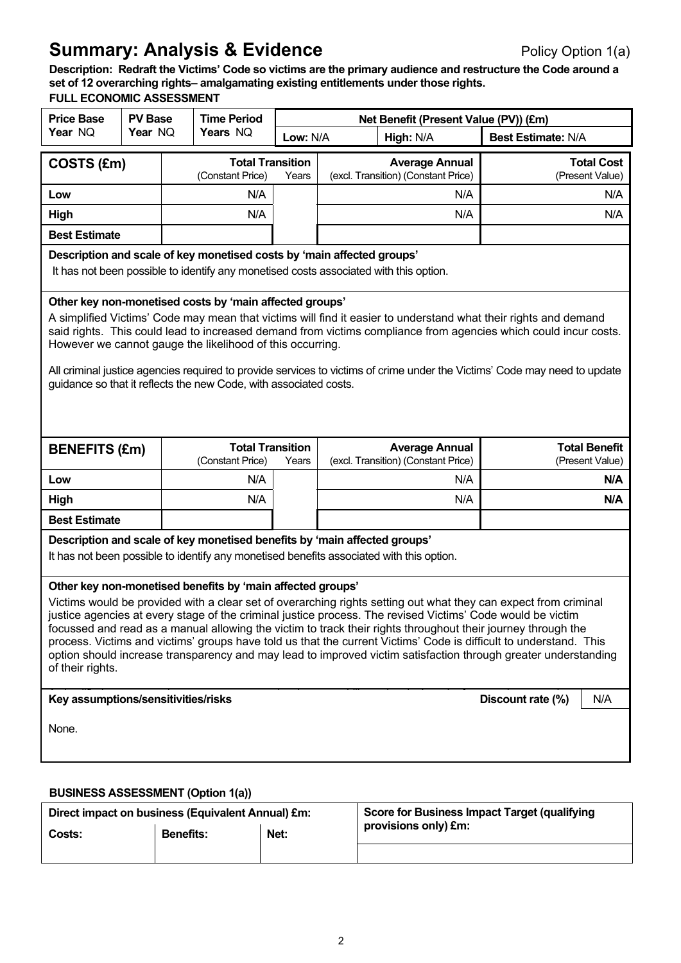# **Summary: Analysis & Evidence Policy Option 1(a)** Policy Option 1(a)

 **Description: Redraft the Victims' Code so victims are the primary audience and restructure the Code around a set of 12 overarching rights– amalgamating existing entitlements under those rights.** 

## **FULL ECONOMIC ASSESSMENT**

| ULL EUUNUINIU AJJEJJINEN I<br><b>Price Base</b>                                                                                                                                                                                                                                                                                                                                                                                                                                                                                                                                                                                                                        | <b>PV Base</b>                                                                                                                                                                                                                                                                                                                                                                                                                                                                                                                                               |                  | <b>Time Period</b>                                                        |                                  |  | Net Benefit (Present Value (PV)) (£m)                                                    |                                                     |  |  |
|------------------------------------------------------------------------------------------------------------------------------------------------------------------------------------------------------------------------------------------------------------------------------------------------------------------------------------------------------------------------------------------------------------------------------------------------------------------------------------------------------------------------------------------------------------------------------------------------------------------------------------------------------------------------|--------------------------------------------------------------------------------------------------------------------------------------------------------------------------------------------------------------------------------------------------------------------------------------------------------------------------------------------------------------------------------------------------------------------------------------------------------------------------------------------------------------------------------------------------------------|------------------|---------------------------------------------------------------------------|----------------------------------|--|------------------------------------------------------------------------------------------|-----------------------------------------------------|--|--|
| Year NQ                                                                                                                                                                                                                                                                                                                                                                                                                                                                                                                                                                                                                                                                | Year NQ                                                                                                                                                                                                                                                                                                                                                                                                                                                                                                                                                      |                  | Years NQ                                                                  | Low: N/A                         |  | High: N/A<br><b>Best Estimate: N/A</b>                                                   |                                                     |  |  |
| COSTS (£m)                                                                                                                                                                                                                                                                                                                                                                                                                                                                                                                                                                                                                                                             |                                                                                                                                                                                                                                                                                                                                                                                                                                                                                                                                                              |                  | (Constant Price)                                                          | <b>Total Transition</b><br>Years |  | <b>Average Annual</b><br>(excl. Transition) (Constant Price)                             | <b>Total Cost</b><br>(Present Value)                |  |  |
| Low                                                                                                                                                                                                                                                                                                                                                                                                                                                                                                                                                                                                                                                                    |                                                                                                                                                                                                                                                                                                                                                                                                                                                                                                                                                              |                  | N/A                                                                       |                                  |  | N/A                                                                                      | N/A                                                 |  |  |
| High                                                                                                                                                                                                                                                                                                                                                                                                                                                                                                                                                                                                                                                                   |                                                                                                                                                                                                                                                                                                                                                                                                                                                                                                                                                              |                  | N/A                                                                       |                                  |  | N/A                                                                                      | N/A                                                 |  |  |
| <b>Best Estimate</b>                                                                                                                                                                                                                                                                                                                                                                                                                                                                                                                                                                                                                                                   |                                                                                                                                                                                                                                                                                                                                                                                                                                                                                                                                                              |                  |                                                                           |                                  |  |                                                                                          |                                                     |  |  |
|                                                                                                                                                                                                                                                                                                                                                                                                                                                                                                                                                                                                                                                                        | Description and scale of key monetised costs by 'main affected groups'<br>It has not been possible to identify any monetised costs associated with this option.                                                                                                                                                                                                                                                                                                                                                                                              |                  |                                                                           |                                  |  |                                                                                          |                                                     |  |  |
|                                                                                                                                                                                                                                                                                                                                                                                                                                                                                                                                                                                                                                                                        | Other key non-monetised costs by 'main affected groups'<br>A simplified Victims' Code may mean that victims will find it easier to understand what their rights and demand<br>said rights. This could lead to increased demand from victims compliance from agencies which could incur costs.<br>However we cannot gauge the likelihood of this occurring.<br>All criminal justice agencies required to provide services to victims of crime under the Victims' Code may need to update<br>guidance so that it reflects the new Code, with associated costs. |                  |                                                                           |                                  |  |                                                                                          |                                                     |  |  |
| <b>BENEFITS (£m)</b>                                                                                                                                                                                                                                                                                                                                                                                                                                                                                                                                                                                                                                                   |                                                                                                                                                                                                                                                                                                                                                                                                                                                                                                                                                              |                  | <b>Total Transition</b><br>(Constant Price)                               | Years                            |  | <b>Average Annual</b><br>(excl. Transition) (Constant Price)                             | <b>Total Benefit</b><br>(Present Value)             |  |  |
| Low                                                                                                                                                                                                                                                                                                                                                                                                                                                                                                                                                                                                                                                                    |                                                                                                                                                                                                                                                                                                                                                                                                                                                                                                                                                              |                  | N/A                                                                       |                                  |  | N/A                                                                                      | N/A                                                 |  |  |
| High                                                                                                                                                                                                                                                                                                                                                                                                                                                                                                                                                                                                                                                                   |                                                                                                                                                                                                                                                                                                                                                                                                                                                                                                                                                              |                  | N/A                                                                       |                                  |  | N/A                                                                                      | N/A                                                 |  |  |
| <b>Best Estimate</b>                                                                                                                                                                                                                                                                                                                                                                                                                                                                                                                                                                                                                                                   |                                                                                                                                                                                                                                                                                                                                                                                                                                                                                                                                                              |                  |                                                                           |                                  |  |                                                                                          |                                                     |  |  |
|                                                                                                                                                                                                                                                                                                                                                                                                                                                                                                                                                                                                                                                                        |                                                                                                                                                                                                                                                                                                                                                                                                                                                                                                                                                              |                  | Description and scale of key monetised benefits by 'main affected groups' |                                  |  | It has not been possible to identify any monetised benefits associated with this option. |                                                     |  |  |
| Other key non-monetised benefits by 'main affected groups'<br>Victims would be provided with a clear set of overarching rights setting out what they can expect from criminal<br>justice agencies at every stage of the criminal justice process. The revised Victims' Code would be victim<br>focussed and read as a manual allowing the victim to track their rights throughout their journey through the<br>process. Victims and victims' groups have told us that the current Victims' Code is difficult to understand. This<br>option should increase transparency and may lead to improved victim satisfaction through greater understanding<br>of their rights. |                                                                                                                                                                                                                                                                                                                                                                                                                                                                                                                                                              |                  |                                                                           |                                  |  |                                                                                          |                                                     |  |  |
| None.                                                                                                                                                                                                                                                                                                                                                                                                                                                                                                                                                                                                                                                                  | Key assumptions/sensitivities/risks<br>N/A<br>Discount rate (%)                                                                                                                                                                                                                                                                                                                                                                                                                                                                                              |                  |                                                                           |                                  |  |                                                                                          |                                                     |  |  |
| <b>BUSINESS ASSESSMENT (Option 1(a))</b>                                                                                                                                                                                                                                                                                                                                                                                                                                                                                                                                                                                                                               |                                                                                                                                                                                                                                                                                                                                                                                                                                                                                                                                                              |                  |                                                                           |                                  |  |                                                                                          |                                                     |  |  |
|                                                                                                                                                                                                                                                                                                                                                                                                                                                                                                                                                                                                                                                                        |                                                                                                                                                                                                                                                                                                                                                                                                                                                                                                                                                              |                  | Direct impact on business (Equivalent Annual) £m:                         |                                  |  | provisions only) £m:                                                                     | <b>Score for Business Impact Target (qualifying</b> |  |  |
| Costs:                                                                                                                                                                                                                                                                                                                                                                                                                                                                                                                                                                                                                                                                 |                                                                                                                                                                                                                                                                                                                                                                                                                                                                                                                                                              | <b>Benefits:</b> |                                                                           | Net:                             |  |                                                                                          |                                                     |  |  |

2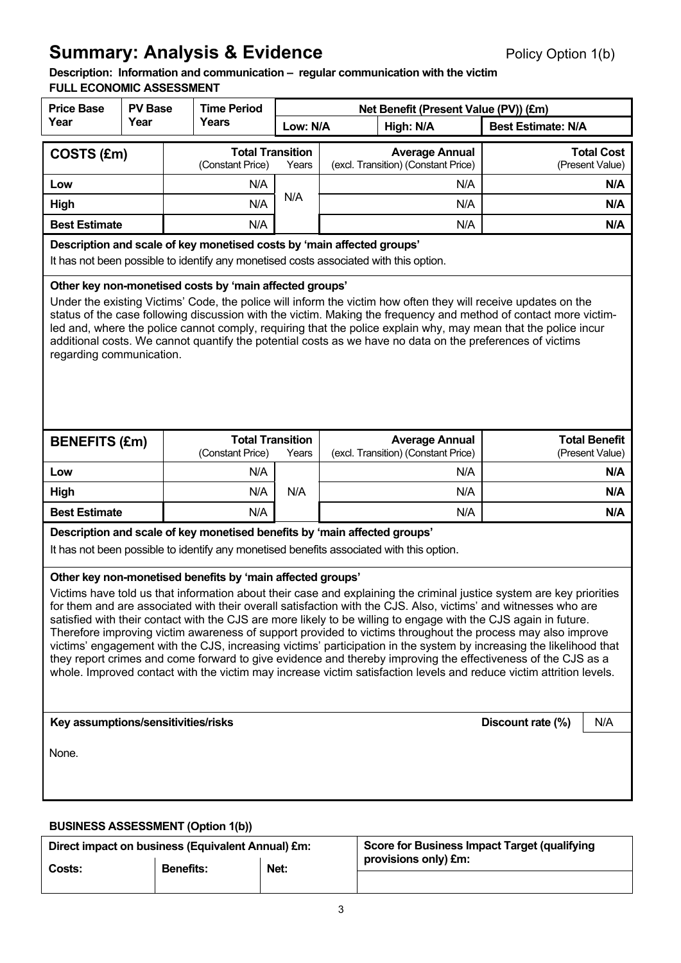# **Summary: Analysis & Evidence Policy Option 1(b)** Policy Option 1(b)

# **Description: Information and communication – regular communication with the victim**

|                                                                                                                                                                                                                                                                                                                                                                                                                                                                                                                                                                                                                                                                                                                                                                                                                                                                                                      |                                                                 | <b>FULL ECONOMIC ASSESSMENT</b> |                                                                           |       |           |                                                                                          |                                         |  |  |
|------------------------------------------------------------------------------------------------------------------------------------------------------------------------------------------------------------------------------------------------------------------------------------------------------------------------------------------------------------------------------------------------------------------------------------------------------------------------------------------------------------------------------------------------------------------------------------------------------------------------------------------------------------------------------------------------------------------------------------------------------------------------------------------------------------------------------------------------------------------------------------------------------|-----------------------------------------------------------------|---------------------------------|---------------------------------------------------------------------------|-------|-----------|------------------------------------------------------------------------------------------|-----------------------------------------|--|--|
| <b>Price Base</b><br>Year                                                                                                                                                                                                                                                                                                                                                                                                                                                                                                                                                                                                                                                                                                                                                                                                                                                                            | <b>PV Base</b><br>Year                                          |                                 | <b>Time Period</b><br>Years                                               |       |           | Net Benefit (Present Value (PV)) (£m)                                                    |                                         |  |  |
|                                                                                                                                                                                                                                                                                                                                                                                                                                                                                                                                                                                                                                                                                                                                                                                                                                                                                                      |                                                                 |                                 | Low: N/A                                                                  |       | High: N/A | <b>Best Estimate: N/A</b>                                                                |                                         |  |  |
| COSTS (£m)                                                                                                                                                                                                                                                                                                                                                                                                                                                                                                                                                                                                                                                                                                                                                                                                                                                                                           |                                                                 |                                 | <b>Total Transition</b><br>(Constant Price)                               | Years |           | <b>Average Annual</b><br>(excl. Transition) (Constant Price)                             | <b>Total Cost</b><br>(Present Value)    |  |  |
| Low                                                                                                                                                                                                                                                                                                                                                                                                                                                                                                                                                                                                                                                                                                                                                                                                                                                                                                  |                                                                 |                                 | N/A                                                                       |       |           | N/A                                                                                      | N/A                                     |  |  |
| High                                                                                                                                                                                                                                                                                                                                                                                                                                                                                                                                                                                                                                                                                                                                                                                                                                                                                                 |                                                                 |                                 | N/A                                                                       | N/A   |           | N/A                                                                                      | N/A                                     |  |  |
| <b>Best Estimate</b>                                                                                                                                                                                                                                                                                                                                                                                                                                                                                                                                                                                                                                                                                                                                                                                                                                                                                 |                                                                 |                                 | N/A                                                                       |       |           | N/A                                                                                      | N/A                                     |  |  |
| Description and scale of key monetised costs by 'main affected groups'<br>It has not been possible to identify any monetised costs associated with this option.                                                                                                                                                                                                                                                                                                                                                                                                                                                                                                                                                                                                                                                                                                                                      |                                                                 |                                 |                                                                           |       |           |                                                                                          |                                         |  |  |
| Other key non-monetised costs by 'main affected groups'<br>Under the existing Victims' Code, the police will inform the victim how often they will receive updates on the<br>status of the case following discussion with the victim. Making the frequency and method of contact more victim-<br>led and, where the police cannot comply, requiring that the police explain why, may mean that the police incur<br>additional costs. We cannot quantify the potential costs as we have no data on the preferences of victims<br>regarding communication.                                                                                                                                                                                                                                                                                                                                             |                                                                 |                                 |                                                                           |       |           |                                                                                          |                                         |  |  |
| <b>BENEFITS (£m)</b>                                                                                                                                                                                                                                                                                                                                                                                                                                                                                                                                                                                                                                                                                                                                                                                                                                                                                 |                                                                 |                                 | <b>Total Transition</b><br>(Constant Price)                               | Years |           | <b>Average Annual</b><br>(excl. Transition) (Constant Price)                             | <b>Total Benefit</b><br>(Present Value) |  |  |
| Low                                                                                                                                                                                                                                                                                                                                                                                                                                                                                                                                                                                                                                                                                                                                                                                                                                                                                                  |                                                                 |                                 | N/A                                                                       |       |           | N/A                                                                                      | N/A                                     |  |  |
| High                                                                                                                                                                                                                                                                                                                                                                                                                                                                                                                                                                                                                                                                                                                                                                                                                                                                                                 |                                                                 |                                 | N/A                                                                       | N/A   |           | N/A                                                                                      | N/A                                     |  |  |
| <b>Best Estimate</b>                                                                                                                                                                                                                                                                                                                                                                                                                                                                                                                                                                                                                                                                                                                                                                                                                                                                                 |                                                                 |                                 | N/A                                                                       |       |           | N/A                                                                                      | N/A                                     |  |  |
|                                                                                                                                                                                                                                                                                                                                                                                                                                                                                                                                                                                                                                                                                                                                                                                                                                                                                                      |                                                                 |                                 | Description and scale of key monetised benefits by 'main affected groups' |       |           | It has not been possible to identify any monetised benefits associated with this option. |                                         |  |  |
| Other key non-monetised benefits by 'main affected groups'<br>Victims have told us that information about their case and explaining the criminal justice system are key priorities<br>for them and are associated with their overall satisfaction with the CJS. Also, victims' and witnesses who are<br>satisfied with their contact with the CJS are more likely to be willing to engage with the CJS again in future.<br>Therefore improving victim awareness of support provided to victims throughout the process may also improve<br>victims' engagement with the CJS, increasing victims' participation in the system by increasing the likelihood that<br>they report crimes and come forward to give evidence and thereby improving the effectiveness of the CJS as a<br>whole. Improved contact with the victim may increase victim satisfaction levels and reduce victim attrition levels. |                                                                 |                                 |                                                                           |       |           |                                                                                          |                                         |  |  |
|                                                                                                                                                                                                                                                                                                                                                                                                                                                                                                                                                                                                                                                                                                                                                                                                                                                                                                      | Key assumptions/sensitivities/risks<br>Discount rate (%)<br>N/A |                                 |                                                                           |       |           |                                                                                          |                                         |  |  |
| None.                                                                                                                                                                                                                                                                                                                                                                                                                                                                                                                                                                                                                                                                                                                                                                                                                                                                                                |                                                                 |                                 |                                                                           |       |           |                                                                                          |                                         |  |  |

#### **BUSINESS ASSESSMENT (Option 1(b))**

| Direct impact on business (Equivalent Annual) £m: |                  |      | <b>Score for Business Impact Target (qualifying</b> |
|---------------------------------------------------|------------------|------|-----------------------------------------------------|
| Costs:                                            | <b>Benefits:</b> | Net: | provisions only) £m:                                |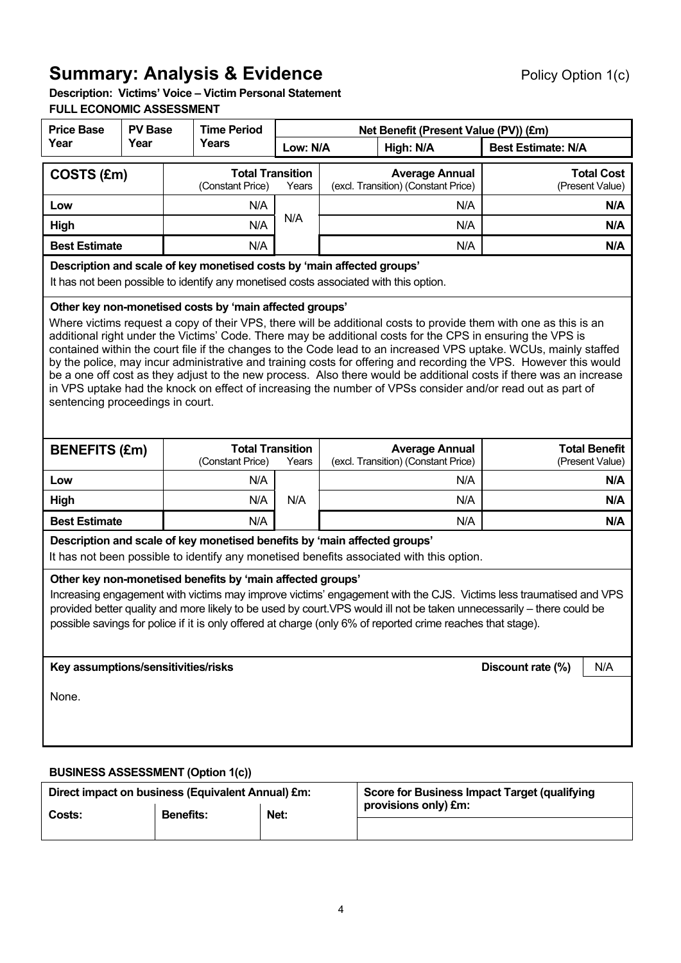# **Summary: Analysis & Evidence Policy Option 1(c) Policy Option 1(c)**

 **Description: Victims' Voice – Victim Personal Statement FULL ECONOMIC ASSESSMENT** 

| <b>Price Base</b>                                                                                                                                                                                                                                                                                                                                                                                                                                                                                                                                                                                                                                                                                                                                                                                          | <b>PV Base</b>                           | <b>Time Period</b> |                                                                                                                                                                 |          |  | Net Benefit (Present Value (PV)) (£m)                                                                   |                           |                                      |
|------------------------------------------------------------------------------------------------------------------------------------------------------------------------------------------------------------------------------------------------------------------------------------------------------------------------------------------------------------------------------------------------------------------------------------------------------------------------------------------------------------------------------------------------------------------------------------------------------------------------------------------------------------------------------------------------------------------------------------------------------------------------------------------------------------|------------------------------------------|--------------------|-----------------------------------------------------------------------------------------------------------------------------------------------------------------|----------|--|---------------------------------------------------------------------------------------------------------|---------------------------|--------------------------------------|
| Year                                                                                                                                                                                                                                                                                                                                                                                                                                                                                                                                                                                                                                                                                                                                                                                                       | Year                                     |                    | Years                                                                                                                                                           | Low: N/A |  | High: N/A                                                                                               | <b>Best Estimate: N/A</b> |                                      |
| COSTS (£m)                                                                                                                                                                                                                                                                                                                                                                                                                                                                                                                                                                                                                                                                                                                                                                                                 |                                          |                    | <b>Total Transition</b><br>(Constant Price)                                                                                                                     | Years    |  | <b>Average Annual</b><br>(excl. Transition) (Constant Price)                                            |                           | <b>Total Cost</b><br>(Present Value) |
| Low                                                                                                                                                                                                                                                                                                                                                                                                                                                                                                                                                                                                                                                                                                                                                                                                        |                                          |                    | N/A                                                                                                                                                             |          |  | N/A                                                                                                     |                           | N/A                                  |
| High                                                                                                                                                                                                                                                                                                                                                                                                                                                                                                                                                                                                                                                                                                                                                                                                       |                                          |                    | N/A                                                                                                                                                             | N/A      |  | N/A                                                                                                     |                           | N/A                                  |
| <b>Best Estimate</b>                                                                                                                                                                                                                                                                                                                                                                                                                                                                                                                                                                                                                                                                                                                                                                                       |                                          |                    | N/A                                                                                                                                                             |          |  | N/A                                                                                                     |                           | N/A                                  |
|                                                                                                                                                                                                                                                                                                                                                                                                                                                                                                                                                                                                                                                                                                                                                                                                            |                                          |                    | Description and scale of key monetised costs by 'main affected groups'<br>It has not been possible to identify any monetised costs associated with this option. |          |  |                                                                                                         |                           |                                      |
| Other key non-monetised costs by 'main affected groups'<br>Where victims request a copy of their VPS, there will be additional costs to provide them with one as this is an<br>additional right under the Victims' Code. There may be additional costs for the CPS in ensuring the VPS is<br>contained within the court file if the changes to the Code lead to an increased VPS uptake. WCUs, mainly staffed<br>by the police, may incur administrative and training costs for offering and recording the VPS. However this would<br>be a one off cost as they adjust to the new process. Also there would be additional costs if there was an increase<br>in VPS uptake had the knock on effect of increasing the number of VPSs consider and/or read out as part of<br>sentencing proceedings in court. |                                          |                    |                                                                                                                                                                 |          |  |                                                                                                         |                           |                                      |
| <b>BENEFITS (£m)</b>                                                                                                                                                                                                                                                                                                                                                                                                                                                                                                                                                                                                                                                                                                                                                                                       |                                          |                    | <b>Total Transition</b><br>(Constant Price)                                                                                                                     | Years    |  | <b>Total Benefit</b><br><b>Average Annual</b><br>(excl. Transition) (Constant Price)<br>(Present Value) |                           |                                      |
| Low                                                                                                                                                                                                                                                                                                                                                                                                                                                                                                                                                                                                                                                                                                                                                                                                        |                                          |                    | N/A                                                                                                                                                             |          |  | N/A                                                                                                     | N/A                       |                                      |
| High                                                                                                                                                                                                                                                                                                                                                                                                                                                                                                                                                                                                                                                                                                                                                                                                       |                                          |                    | N/A                                                                                                                                                             | N/A      |  | N/A                                                                                                     | N/A                       |                                      |
| <b>Best Estimate</b>                                                                                                                                                                                                                                                                                                                                                                                                                                                                                                                                                                                                                                                                                                                                                                                       |                                          |                    | N/A                                                                                                                                                             |          |  | N/A                                                                                                     |                           | N/A                                  |
|                                                                                                                                                                                                                                                                                                                                                                                                                                                                                                                                                                                                                                                                                                                                                                                                            |                                          |                    | Description and scale of key monetised benefits by 'main affected groups'                                                                                       |          |  | It has not been possible to identify any monetised benefits associated with this option.                |                           |                                      |
| Other key non-monetised benefits by 'main affected groups'<br>Increasing engagement with victims may improve victims' engagement with the CJS. Victims less traumatised and VPS<br>provided better quality and more likely to be used by court. VPS would ill not be taken unnecessarily – there could be<br>possible savings for police if it is only offered at charge (only 6% of reported crime reaches that stage).                                                                                                                                                                                                                                                                                                                                                                                   |                                          |                    |                                                                                                                                                                 |          |  |                                                                                                         |                           |                                      |
| Key assumptions/sensitivities/risks<br>Discount rate (%)<br>N/A                                                                                                                                                                                                                                                                                                                                                                                                                                                                                                                                                                                                                                                                                                                                            |                                          |                    |                                                                                                                                                                 |          |  |                                                                                                         |                           |                                      |
| None.                                                                                                                                                                                                                                                                                                                                                                                                                                                                                                                                                                                                                                                                                                                                                                                                      |                                          |                    |                                                                                                                                                                 |          |  |                                                                                                         |                           |                                      |
|                                                                                                                                                                                                                                                                                                                                                                                                                                                                                                                                                                                                                                                                                                                                                                                                            | <b>BUSINESS ASSESSMENT (Option 1(c))</b> |                    |                                                                                                                                                                 |          |  |                                                                                                         |                           |                                      |

| Direct impact on business (Equivalent Annual) £m: |                  |      | <b>Score for Business Impact Target (qualifying</b> |
|---------------------------------------------------|------------------|------|-----------------------------------------------------|
| Costs:                                            | <b>Benefits:</b> | Net: | provisions only) £m:                                |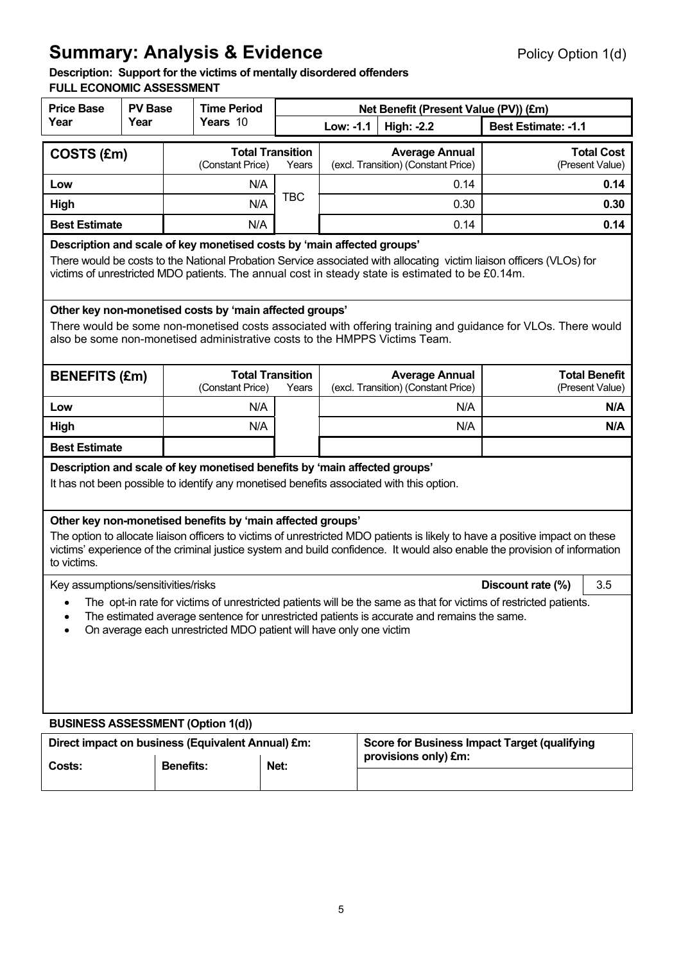# **Summary: Analysis & Evidence Policy Option 1(d)** Policy Option 1(d)

### **Description: Support for the victims of mentally disordered offenders**

## **FULL ECONOMIC ASSESSMENT**

| <b>Price Base</b>                                                                                                                                                                                                                                                                                  | <b>PV Base</b>                                                                                                                                                                                                                                                                                                           |                  | <b>Time Period</b> |                                  | Net Benefit (Present Value (PV)) (£m) |  |                                                                                          |                                                                                                              |  |
|----------------------------------------------------------------------------------------------------------------------------------------------------------------------------------------------------------------------------------------------------------------------------------------------------|--------------------------------------------------------------------------------------------------------------------------------------------------------------------------------------------------------------------------------------------------------------------------------------------------------------------------|------------------|--------------------|----------------------------------|---------------------------------------|--|------------------------------------------------------------------------------------------|--------------------------------------------------------------------------------------------------------------|--|
| Year                                                                                                                                                                                                                                                                                               | Year                                                                                                                                                                                                                                                                                                                     |                  | Years 10           |                                  | Low: -1.1                             |  | <b>High: -2.2</b>                                                                        | <b>Best Estimate: -1.1</b>                                                                                   |  |
| COSTS (£m)                                                                                                                                                                                                                                                                                         |                                                                                                                                                                                                                                                                                                                          |                  | (Constant Price)   | <b>Total Transition</b><br>Years |                                       |  | <b>Average Annual</b><br>(excl. Transition) (Constant Price)                             | <b>Total Cost</b><br>(Present Value)                                                                         |  |
| Low                                                                                                                                                                                                                                                                                                |                                                                                                                                                                                                                                                                                                                          |                  | N/A                |                                  |                                       |  | 0.14                                                                                     | 0.14                                                                                                         |  |
| High                                                                                                                                                                                                                                                                                               |                                                                                                                                                                                                                                                                                                                          |                  | N/A                | <b>TBC</b>                       |                                       |  | 0.30                                                                                     | 0.30                                                                                                         |  |
| <b>Best Estimate</b>                                                                                                                                                                                                                                                                               |                                                                                                                                                                                                                                                                                                                          |                  | N/A                |                                  |                                       |  | 0.14                                                                                     | 0.14                                                                                                         |  |
| Description and scale of key monetised costs by 'main affected groups'<br>There would be costs to the National Probation Service associated with allocating victim liaison officers (VLOs) for<br>victims of unrestricted MDO patients. The annual cost in steady state is estimated to be £0.14m. |                                                                                                                                                                                                                                                                                                                          |                  |                    |                                  |                                       |  |                                                                                          |                                                                                                              |  |
| Other key non-monetised costs by 'main affected groups'<br>also be some non-monetised administrative costs to the HMPPS Victims Team.                                                                                                                                                              |                                                                                                                                                                                                                                                                                                                          |                  |                    |                                  |                                       |  |                                                                                          | There would be some non-monetised costs associated with offering training and guidance for VLOs. There would |  |
| <b>BENEFITS (£m)</b>                                                                                                                                                                                                                                                                               |                                                                                                                                                                                                                                                                                                                          |                  | (Constant Price)   | <b>Total Transition</b><br>Years |                                       |  | <b>Average Annual</b><br>(excl. Transition) (Constant Price)                             | <b>Total Benefit</b><br>(Present Value)                                                                      |  |
| Low                                                                                                                                                                                                                                                                                                |                                                                                                                                                                                                                                                                                                                          |                  | N/A                |                                  |                                       |  | N/A                                                                                      | N/A                                                                                                          |  |
| High                                                                                                                                                                                                                                                                                               |                                                                                                                                                                                                                                                                                                                          |                  | N/A                |                                  |                                       |  | N/A                                                                                      | N/A                                                                                                          |  |
| <b>Best Estimate</b>                                                                                                                                                                                                                                                                               |                                                                                                                                                                                                                                                                                                                          |                  |                    |                                  |                                       |  |                                                                                          |                                                                                                              |  |
| Description and scale of key monetised benefits by 'main affected groups'                                                                                                                                                                                                                          |                                                                                                                                                                                                                                                                                                                          |                  |                    |                                  |                                       |  | It has not been possible to identify any monetised benefits associated with this option. |                                                                                                              |  |
| to victims.                                                                                                                                                                                                                                                                                        | Other key non-monetised benefits by 'main affected groups'<br>The option to allocate liaison officers to victims of unrestricted MDO patients is likely to have a positive impact on these<br>victims' experience of the criminal justice system and build confidence. It would also enable the provision of information |                  |                    |                                  |                                       |  |                                                                                          |                                                                                                              |  |
| Key assumptions/sensitivities/risks                                                                                                                                                                                                                                                                |                                                                                                                                                                                                                                                                                                                          |                  |                    |                                  |                                       |  |                                                                                          | 3.5<br>Discount rate (%)                                                                                     |  |
| The opt-in rate for victims of unrestricted patients will be the same as that for victims of restricted patients.<br>The estimated average sentence for unrestricted patients is accurate and remains the same.<br>On average each unrestricted MDO patient will have only one victim              |                                                                                                                                                                                                                                                                                                                          |                  |                    |                                  |                                       |  |                                                                                          |                                                                                                              |  |
| <b>BUSINESS ASSESSMENT (Option 1(d))</b>                                                                                                                                                                                                                                                           |                                                                                                                                                                                                                                                                                                                          |                  |                    |                                  |                                       |  |                                                                                          |                                                                                                              |  |
| Direct impact on business (Equivalent Annual) £m:<br>Costs:                                                                                                                                                                                                                                        |                                                                                                                                                                                                                                                                                                                          | <b>Benefits:</b> |                    | Net:                             |                                       |  | provisions only) £m:                                                                     | <b>Score for Business Impact Target (qualifying</b>                                                          |  |
|                                                                                                                                                                                                                                                                                                    |                                                                                                                                                                                                                                                                                                                          |                  |                    |                                  |                                       |  |                                                                                          |                                                                                                              |  |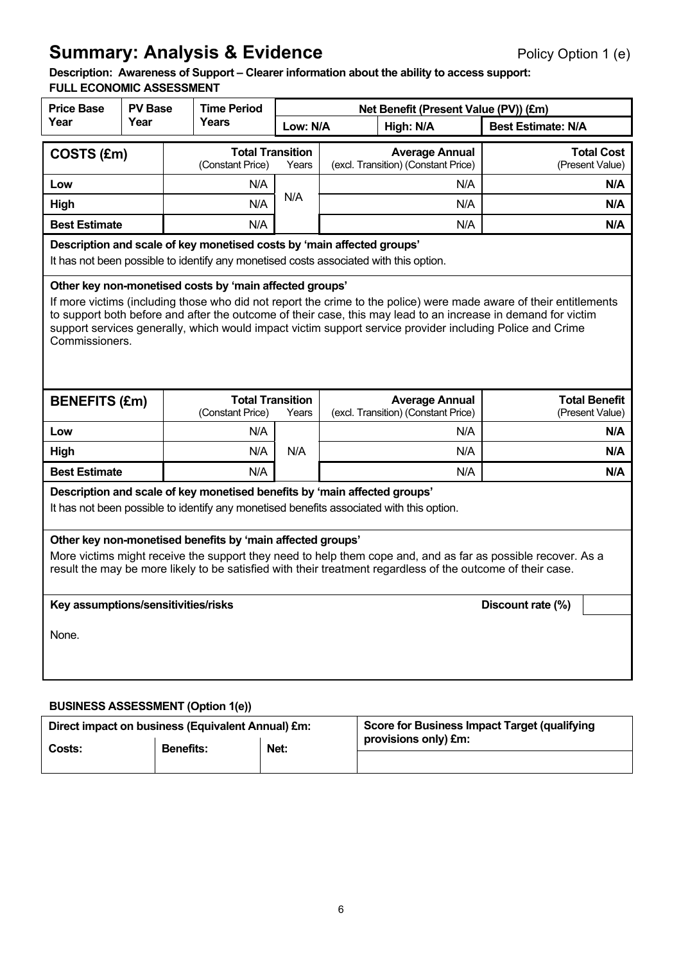# **Summary: Analysis & Evidence Policy Option 1 (e) Policy Option 1 (e)**

 **Description: Awareness of Support – Clearer information about the ability to access support: FULL ECONOMIC ASSESSMENT** 

| <b>Price Base</b>                                                                                                                                                                                                                                                                                                                                                                                                             | <b>PV Base</b>                                                                                                                                                  |  | <b>Time Period</b>                          |          |                                                              | Net Benefit (Present Value (PV)) (£m)                                                    |                                         |
|-------------------------------------------------------------------------------------------------------------------------------------------------------------------------------------------------------------------------------------------------------------------------------------------------------------------------------------------------------------------------------------------------------------------------------|-----------------------------------------------------------------------------------------------------------------------------------------------------------------|--|---------------------------------------------|----------|--------------------------------------------------------------|------------------------------------------------------------------------------------------|-----------------------------------------|
| Year                                                                                                                                                                                                                                                                                                                                                                                                                          | Year                                                                                                                                                            |  | <b>Years</b>                                | Low: N/A |                                                              | High: N/A                                                                                | <b>Best Estimate: N/A</b>               |
| COSTS (£m)                                                                                                                                                                                                                                                                                                                                                                                                                    |                                                                                                                                                                 |  | <b>Total Transition</b><br>(Constant Price) | Years    |                                                              | <b>Average Annual</b><br>(excl. Transition) (Constant Price)                             | <b>Total Cost</b><br>(Present Value)    |
| Low                                                                                                                                                                                                                                                                                                                                                                                                                           |                                                                                                                                                                 |  | N/A                                         |          |                                                              | N/A                                                                                      | N/A                                     |
| High                                                                                                                                                                                                                                                                                                                                                                                                                          |                                                                                                                                                                 |  | N/A                                         | N/A      |                                                              | N/A                                                                                      | N/A                                     |
| <b>Best Estimate</b>                                                                                                                                                                                                                                                                                                                                                                                                          |                                                                                                                                                                 |  | N/A                                         |          |                                                              | N/A                                                                                      | N/A                                     |
|                                                                                                                                                                                                                                                                                                                                                                                                                               | Description and scale of key monetised costs by 'main affected groups'<br>It has not been possible to identify any monetised costs associated with this option. |  |                                             |          |                                                              |                                                                                          |                                         |
| Other key non-monetised costs by 'main affected groups'<br>If more victims (including those who did not report the crime to the police) were made aware of their entitlements<br>to support both before and after the outcome of their case, this may lead to an increase in demand for victim<br>support services generally, which would impact victim support service provider including Police and Crime<br>Commissioners. |                                                                                                                                                                 |  |                                             |          |                                                              |                                                                                          |                                         |
| <b>BENEFITS (£m)</b>                                                                                                                                                                                                                                                                                                                                                                                                          |                                                                                                                                                                 |  | <b>Total Transition</b><br>(Constant Price) | Years    | <b>Average Annual</b><br>(excl. Transition) (Constant Price) |                                                                                          | <b>Total Benefit</b><br>(Present Value) |
| Low                                                                                                                                                                                                                                                                                                                                                                                                                           |                                                                                                                                                                 |  | N/A                                         |          |                                                              | N/A                                                                                      | N/A                                     |
| High                                                                                                                                                                                                                                                                                                                                                                                                                          |                                                                                                                                                                 |  | N/A                                         | N/A      |                                                              | N/A                                                                                      | N/A                                     |
| <b>Best Estimate</b>                                                                                                                                                                                                                                                                                                                                                                                                          |                                                                                                                                                                 |  | N/A                                         |          |                                                              | N/A                                                                                      | N/A                                     |
| Description and scale of key monetised benefits by 'main affected groups'                                                                                                                                                                                                                                                                                                                                                     |                                                                                                                                                                 |  |                                             |          |                                                              | It has not been possible to identify any monetised benefits associated with this option. |                                         |
| Other key non-monetised benefits by 'main affected groups'<br>More victims might receive the support they need to help them cope and, and as far as possible recover. As a<br>result the may be more likely to be satisfied with their treatment regardless of the outcome of their case.                                                                                                                                     |                                                                                                                                                                 |  |                                             |          |                                                              |                                                                                          |                                         |
| Discount rate (%)<br>Key assumptions/sensitivities/risks                                                                                                                                                                                                                                                                                                                                                                      |                                                                                                                                                                 |  |                                             |          |                                                              |                                                                                          |                                         |
| None.                                                                                                                                                                                                                                                                                                                                                                                                                         |                                                                                                                                                                 |  |                                             |          |                                                              |                                                                                          |                                         |
|                                                                                                                                                                                                                                                                                                                                                                                                                               |                                                                                                                                                                 |  |                                             |          |                                                              |                                                                                          |                                         |

# **BUSINESS ASSESSMENT (Option 1(e))**  Direct impact on business (Equivalent Annual) £m: | Score for Business Impact Target (qualifying **Costs:** Benefits: Net: **provisions only)** £m: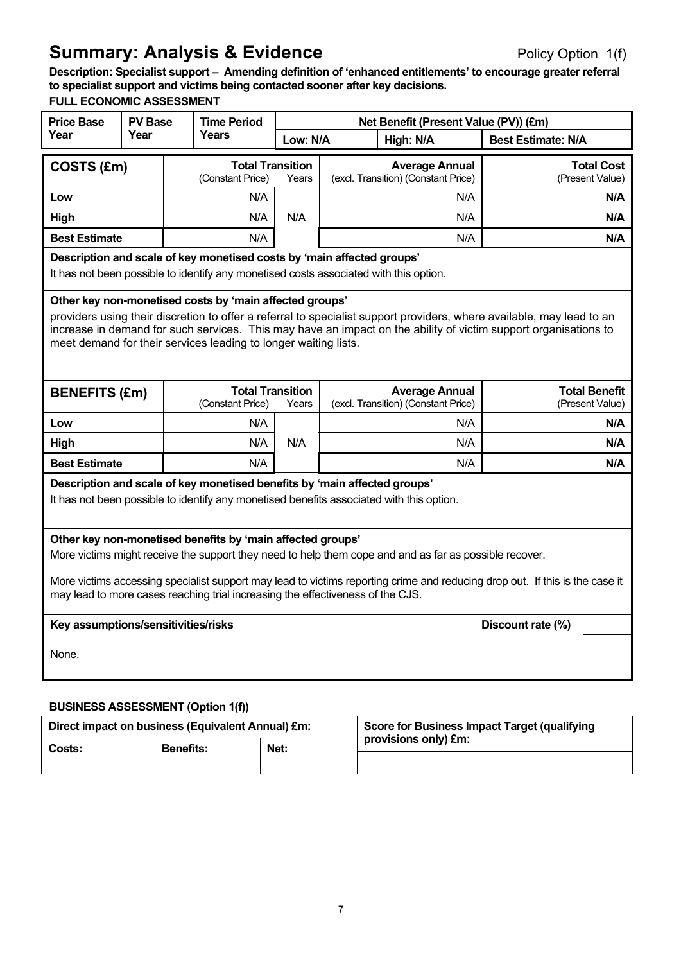# **Summary: Analysis & Evidence Policy Option 1(f) Summary: Analysis & Evidence**

 **Description: Specialist support – Amending definition of 'enhanced entitlements' to encourage greater referral to specialist support and victims being contacted sooner after key decisions.** 

## **FULL ECONOMIC ASSESSMENT**

| <b>Price Base</b>                                                                                                                                                                                                                                                                                                                                                                     | <b>PV Base</b>                                                                                                                                                  |  | <b>Time Period</b>                                                        | Net Benefit (Present Value (PV)) (£m) |  |                                                                                          |                                         |  |
|---------------------------------------------------------------------------------------------------------------------------------------------------------------------------------------------------------------------------------------------------------------------------------------------------------------------------------------------------------------------------------------|-----------------------------------------------------------------------------------------------------------------------------------------------------------------|--|---------------------------------------------------------------------------|---------------------------------------|--|------------------------------------------------------------------------------------------|-----------------------------------------|--|
| Year                                                                                                                                                                                                                                                                                                                                                                                  | Year                                                                                                                                                            |  | Years                                                                     | Low: N/A                              |  | High: N/A                                                                                | <b>Best Estimate: N/A</b>               |  |
| COSTS (£m)                                                                                                                                                                                                                                                                                                                                                                            |                                                                                                                                                                 |  | <b>Total Transition</b><br>(Constant Price)                               | Years                                 |  | <b>Average Annual</b><br>(excl. Transition) (Constant Price)                             | <b>Total Cost</b><br>(Present Value)    |  |
| Low                                                                                                                                                                                                                                                                                                                                                                                   |                                                                                                                                                                 |  | N/A                                                                       |                                       |  | N/A                                                                                      | N/A                                     |  |
| High                                                                                                                                                                                                                                                                                                                                                                                  |                                                                                                                                                                 |  | N/A                                                                       | N/A                                   |  | N/A                                                                                      | N/A                                     |  |
| <b>Best Estimate</b>                                                                                                                                                                                                                                                                                                                                                                  |                                                                                                                                                                 |  | N/A                                                                       |                                       |  | N/A                                                                                      | N/A                                     |  |
|                                                                                                                                                                                                                                                                                                                                                                                       | Description and scale of key monetised costs by 'main affected groups'<br>It has not been possible to identify any monetised costs associated with this option. |  |                                                                           |                                       |  |                                                                                          |                                         |  |
| Other key non-monetised costs by 'main affected groups'<br>providers using their discretion to offer a referral to specialist support providers, where available, may lead to an<br>increase in demand for such services. This may have an impact on the ability of victim support organisations to<br>meet demand for their services leading to longer waiting lists.                |                                                                                                                                                                 |  |                                                                           |                                       |  |                                                                                          |                                         |  |
| <b>BENEFITS (£m)</b>                                                                                                                                                                                                                                                                                                                                                                  |                                                                                                                                                                 |  | <b>Total Transition</b><br>(Constant Price)                               | Years                                 |  | <b>Average Annual</b><br>(excl. Transition) (Constant Price)                             | <b>Total Benefit</b><br>(Present Value) |  |
| Low                                                                                                                                                                                                                                                                                                                                                                                   |                                                                                                                                                                 |  | N/A                                                                       |                                       |  | N/A                                                                                      | N/A                                     |  |
| High                                                                                                                                                                                                                                                                                                                                                                                  |                                                                                                                                                                 |  | N/A                                                                       | N/A                                   |  | N/A                                                                                      | N/A                                     |  |
| <b>Best Estimate</b>                                                                                                                                                                                                                                                                                                                                                                  |                                                                                                                                                                 |  | N/A                                                                       |                                       |  | N/A                                                                                      | N/A                                     |  |
|                                                                                                                                                                                                                                                                                                                                                                                       |                                                                                                                                                                 |  | Description and scale of key monetised benefits by 'main affected groups' |                                       |  | It has not been possible to identify any monetised benefits associated with this option. |                                         |  |
| Other key non-monetised benefits by 'main affected groups'<br>More victims might receive the support they need to help them cope and and as far as possible recover.<br>More victims accessing specialist support may lead to victims reporting crime and reducing drop out. If this is the case it<br>may lead to more cases reaching trial increasing the effectiveness of the CJS. |                                                                                                                                                                 |  |                                                                           |                                       |  |                                                                                          |                                         |  |
| Key assumptions/sensitivities/risks<br>Discount rate (%)                                                                                                                                                                                                                                                                                                                              |                                                                                                                                                                 |  |                                                                           |                                       |  |                                                                                          |                                         |  |
| None.                                                                                                                                                                                                                                                                                                                                                                                 |                                                                                                                                                                 |  |                                                                           |                                       |  |                                                                                          |                                         |  |
| <b>BUSINESS ASSESSMENT (Option 1(f))</b>                                                                                                                                                                                                                                                                                                                                              |                                                                                                                                                                 |  |                                                                           |                                       |  |                                                                                          |                                         |  |

| Direct impact on business (Equivalent Annual) £m: |                  |      | Score for Business Impact Target (qualifying |  |
|---------------------------------------------------|------------------|------|----------------------------------------------|--|
| Costs:                                            | <b>Benefits:</b> | Net: | provisions only) £m:                         |  |
|                                                   |                  |      |                                              |  |
|                                                   |                  |      |                                              |  |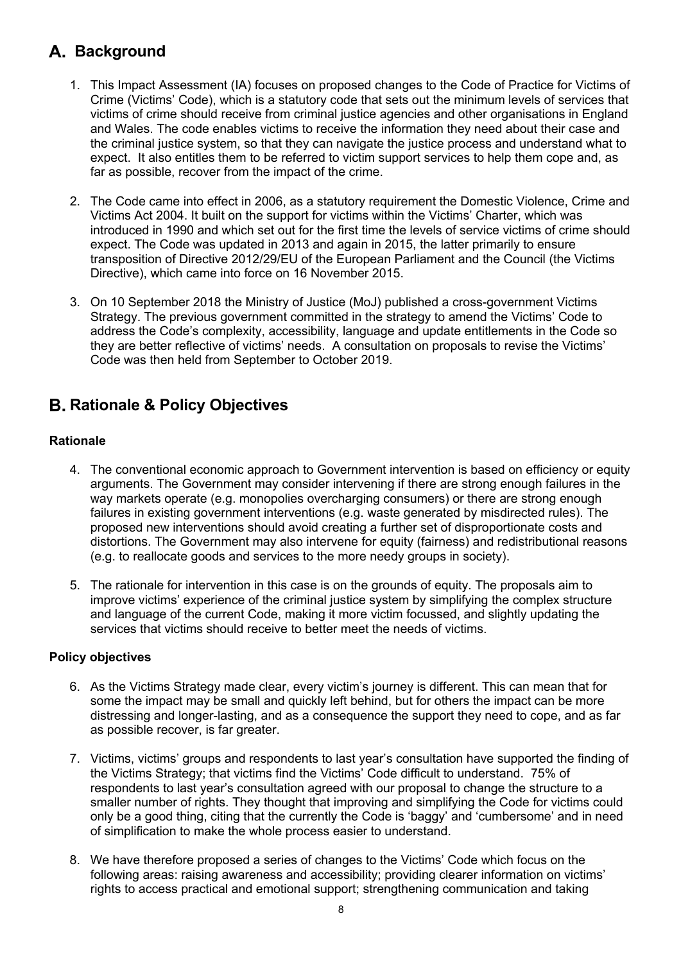# **Background**

- 1. This Impact Assessment (IA) focuses on proposed changes to the Code of Practice for Victims of Crime (Victims' Code), which is a statutory code that sets out the minimum levels of services that victims of crime should receive from criminal justice agencies and other organisations in England and Wales. The code enables victims to receive the information they need about their case and expect. It also entitles them to be referred to victim support services to help them cope and, as the criminal justice system, so that they can navigate the justice process and understand what to far as possible, recover from the impact of the crime.
- 2. The Code came into effect in 2006, as a statutory requirement the Domestic Violence, Crime and Victims Act 2004. It built on the support for victims within the Victims' Charter, which was introduced in 1990 and which set out for the first time the levels of service victims of crime should expect. The Code was updated in 2013 and again in 2015, the latter primarily to ensure Directive), which came into force on 16 November 2015. transposition of Directive 2012/29/EU of the European Parliament and the Council (the Victims
- 3. On 10 September 2018 the Ministry of Justice (MoJ) published a cross-government Victims Strategy. The previous government committed in the strategy to amend the Victims' Code to address the Code's complexity, accessibility, language and update entitlements in the Code so Code was then held from September to October 2019. they are better reflective of victims' needs. A consultation on proposals to revise the Victims'

# **Rationale & Policy Objectives**

## **Rationale**

- 4. The conventional economic approach to Government intervention is based on efficiency or equity way markets operate (e.g. monopolies overcharging consumers) or there are strong enough proposed new interventions should avoid creating a further set of disproportionate costs and arguments. The Government may consider intervening if there are strong enough failures in the failures in existing government interventions (e.g. waste generated by misdirected rules). The distortions. The Government may also intervene for equity (fairness) and redistributional reasons (e.g. to reallocate goods and services to the more needy groups in society).
- 5. The rationale for intervention in this case is on the grounds of equity. The proposals aim to improve victims' experience of the criminal justice system by simplifying the complex structure and language of the current Code, making it more victim focussed, and slightly updating the services that victims should receive to better meet the needs of victims.

## **Policy objectives**

- 6. As the Victims Strategy made clear, every victim's journey is different. This can mean that for some the impact may be small and quickly left behind, but for others the impact can be more distressing and longer-lasting, and as a consequence the support they need to cope, and as far as possible recover, is far greater.
- 7. Victims, victims' groups and respondents to last year's consultation have supported the finding of the Victims Strategy; that victims find the Victims' Code difficult to understand. 75% of smaller number of rights. They thought that improving and simplifying the Code for victims could only be a good thing, citing that the currently the Code is 'baggy' and 'cumbersome' and in need respondents to last year's consultation agreed with our proposal to change the structure to a of simplification to make the whole process easier to understand.
- 8. We have therefore proposed a series of changes to the Victims' Code which focus on the following areas: raising awareness and accessibility; providing clearer information on victims' rights to access practical and emotional support; strengthening communication and taking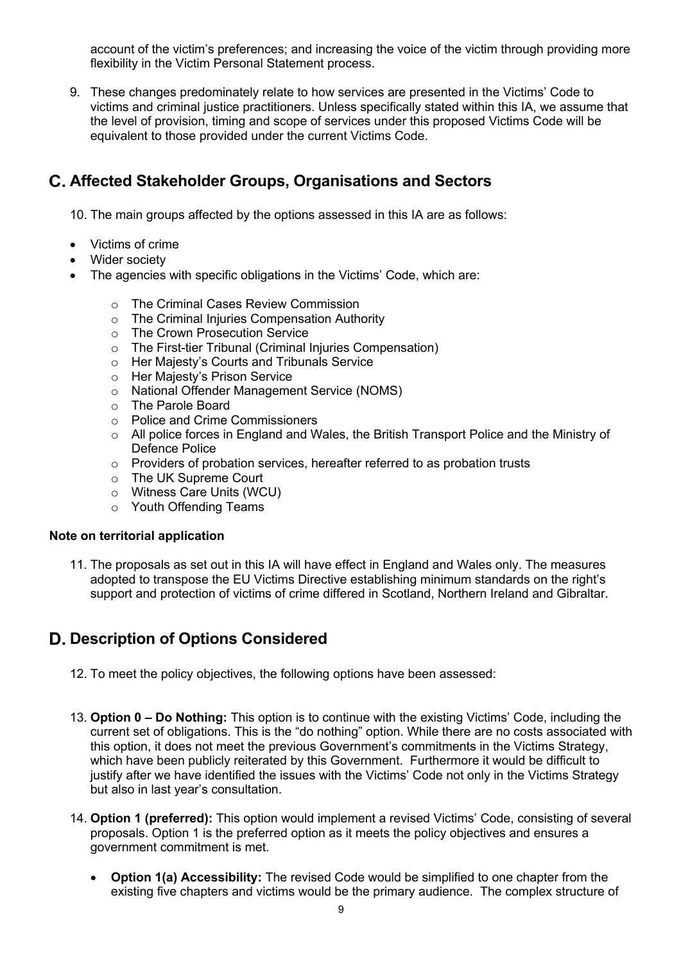account of the victim's preferences; and increasing the voice of the victim through providing more flexibility in the Victim Personal Statement process.

 9. These changes predominately relate to how services are presented in the Victims' Code to equivalent to those provided under the current Victims Code. victims and criminal justice practitioners. Unless specifically stated within this IA, we assume that the level of provision, timing and scope of services under this proposed Victims Code will be

# **Affected Stakeholder Groups, Organisations and Sectors**

10. The main groups affected by the options assessed in this IA are as follows:

- Victims of crime
- Wider society
- • The agencies with specific obligations in the Victims' Code, which are:
	- o The Criminal Cases Review Commission
	- o The Criminal Injuries Compensation Authority
	- o The Crown Prosecution Service
	- o The First-tier Tribunal (Criminal Injuries Compensation)
	- o Her Majesty's Courts and Tribunals Service
	- o Her Majesty's Prison Service
	- o National Offender Management Service (NOMS)
	- o The Parole Board
	- o Police and Crime Commissioners
	- o All police forces in England and Wales, the British Transport Police and the Ministry of Defence Police
	- $\circ$  Providers of probation services, hereafter referred to as probation trusts
	- o The UK Supreme Court
	- o Witness Care Units (WCU)
	- o Youth Offending Teams

### **Note on territorial application**

 11. The proposals as set out in this IA will have effect in England and Wales only. The measures support and protection of victims of crime differed in Scotland, Northern Ireland and Gibraltar. adopted to transpose the EU Victims Directive establishing minimum standards on the right's

# **Description of Options Considered**

- 12. To meet the policy objectives, the following options have been assessed:
- 13. **Option 0 Do Nothing:** This option is to continue with the existing Victims' Code, including the current set of obligations. This is the "do nothing" option. While there are no costs associated with this option, it does not meet the previous Government's commitments in the Victims Strategy, which have been publicly reiterated by this Government. Furthermore it would be difficult to justify after we have identified the issues with the Victims' Code not only in the Victims Strategy but also in last year's consultation.
- 14. **Option 1 (preferred):** This option would implement a revised Victims' Code, consisting of several proposals. Option 1 is the preferred option as it meets the policy objectives and ensures a government commitment is met.
	- **Option 1(a) Accessibility:** The revised Code would be simplified to one chapter from the existing five chapters and victims would be the primary audience. The complex structure of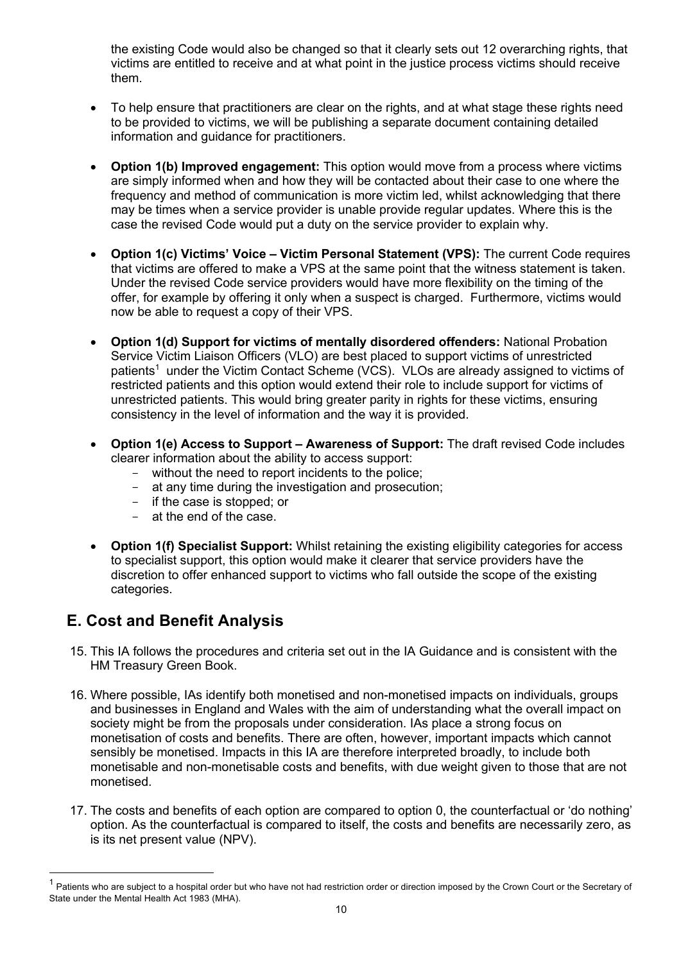the existing Code would also be changed so that it clearly sets out 12 overarching rights, that victims are entitled to receive and at what point in the justice process victims should receive them.

- • To help ensure that practitioners are clear on the rights, and at what stage these rights need to be provided to victims, we will be publishing a separate document containing detailed information and guidance for practitioners.
- **Option 1(b) Improved engagement:** This option would move from a process where victims are simply informed when and how they will be contacted about their case to one where the frequency and method of communication is more victim led, whilst acknowledging that there may be times when a service provider is unable provide regular updates. Where this is the case the revised Code would put a duty on the service provider to explain why.
- **Option 1(c) Victims' Voice Victim Personal Statement (VPS):** The current Code requires that victims are offered to make a VPS at the same point that the witness statement is taken. Under the revised Code service providers would have more flexibility on the timing of the offer, for example by offering it only when a suspect is charged. Furthermore, victims would now be able to request a copy of their VPS.
- **Option 1(d) Support for victims of mentally disordered offenders:** National Probation Service Victim Liaison Officers (VLO) are best placed to support victims of unrestricted patients<sup>1</sup> under the Victim Contact Scheme (VCS). VLOs are already assigned to victims of restricted patients and this option would extend their role to include support for victims of consistency in the level of information and the way it is provided. unrestricted patients. This would bring greater parity in rights for these victims, ensuring
- **Option 1(e) Access to Support Awareness of Support:** The draft revised Code includes clearer information about the ability to access support:
	- without the need to report incidents to the police;
	- at any time during the investigation and prosecution;
	- if the case is stopped; or
	- at the end of the case.
- **Option 1(f) Specialist Support:** Whilst retaining the existing eligibility categories for access to specialist support, this option would make it clearer that service providers have the discretion to offer enhanced support to victims who fall outside the scope of the existing categories.

# **E. Cost and Benefit Analysis**

- 15. This IA follows the procedures and criteria set out in the IA Guidance and is consistent with the HM Treasury Green Book.
- 16. Where possible, IAs identify both monetised and non-monetised impacts on individuals, groups and businesses in England and Wales with the aim of understanding what the overall impact on society might be from the proposals under consideration. IAs place a strong focus on monetisation of costs and benefits. There are often, however, important impacts which cannot sensibly be monetised. Impacts in this IA are therefore interpreted broadly, to include both monetisable and non-monetisable costs and benefits, with due weight given to those that are not monetised.
- 17. The costs and benefits of each option are compared to option 0, the counterfactual or 'do nothing' is its net present value (NPV). option. As the counterfactual is compared to itself, the costs and benefits are necessarily zero, as

 $1$  Patients who are subject to a hospital order but who have not had restriction order or direction imposed by the Crown Court or the Secretary of State under the Mental Health Act 1983 (MHA).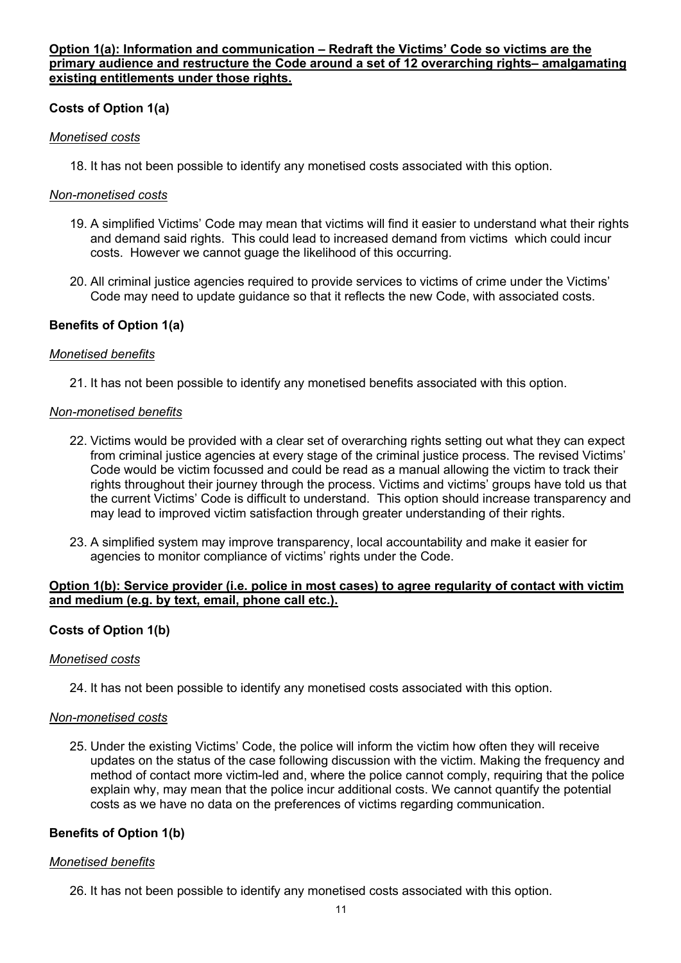### **Option 1(a): Information and communication – Redraft the Victims' Code so victims are the primary audience and restructure the Code around a set of 12 overarching rights– amalgamating existing entitlements under those rights.**

## **Costs of Option 1(a)**

### *Monetised costs*

18. It has not been possible to identify any monetised costs associated with this option.

### *Non-monetised costs*

- 19. A simplified Victims' Code may mean that victims will find it easier to understand what their rights and demand said rights. This could lead to increased demand from victims which could incur costs. However we cannot guage the likelihood of this occurring.
- 20. All criminal justice agencies required to provide services to victims of crime under the Victims' Code may need to update guidance so that it reflects the new Code, with associated costs.

### **Benefits of Option 1(a)**

### *Monetised benefits*

21. It has not been possible to identify any monetised benefits associated with this option.

### *Non-monetised benefits*

- 22. Victims would be provided with a clear set of overarching rights setting out what they can expect Code would be victim focussed and could be read as a manual allowing the victim to track their may lead to improved victim satisfaction through greater understanding of their rights. from criminal justice agencies at every stage of the criminal justice process. The revised Victims' rights throughout their journey through the process. Victims and victims' groups have told us that the current Victims' Code is difficult to understand. This option should increase transparency and
- 23. A simplified system may improve transparency, local accountability and make it easier for agencies to monitor compliance of victims' rights under the Code.

#### **Option 1(b): Service provider (i.e. police in most cases) to agree regularity of contact with victim and medium (e.g. by text, email, phone call etc.).**

## **Costs of Option 1(b)**

### *Monetised costs*

24. It has not been possible to identify any monetised costs associated with this option.

### *Non-monetised costs*

 25. Under the existing Victims' Code, the police will inform the victim how often they will receive method of contact more victim-led and, where the police cannot comply, requiring that the police explain why, may mean that the police incur additional costs. We cannot quantify the potential updates on the status of the case following discussion with the victim. Making the frequency and costs as we have no data on the preferences of victims regarding communication.

### **Benefits of Option 1(b)**

### *Monetised benefits*

26. It has not been possible to identify any monetised costs associated with this option.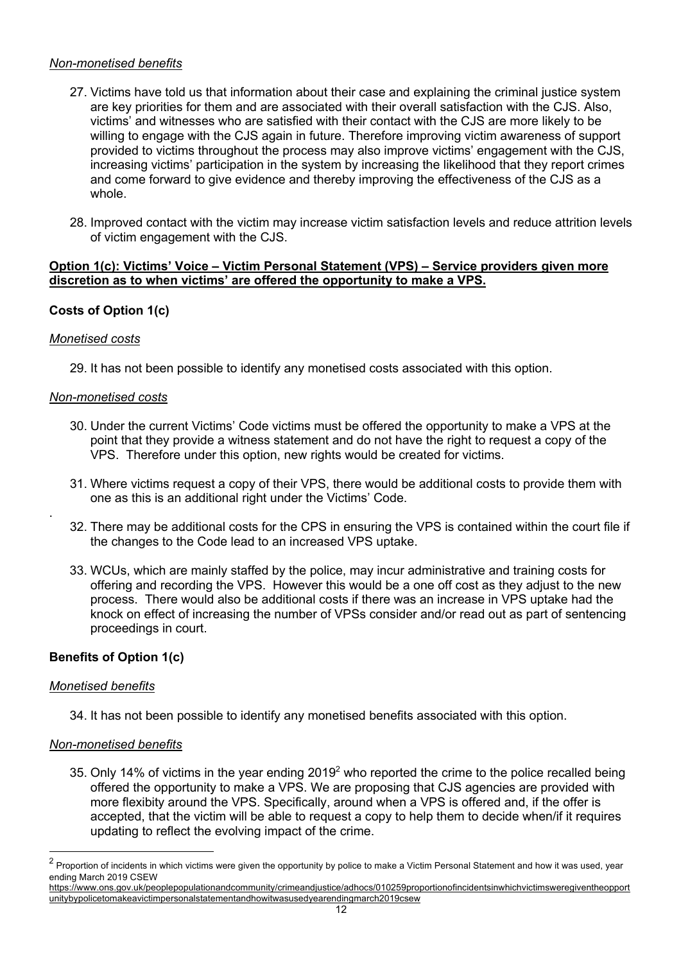### *Non-monetised benefits*

- 27. Victims have told us that information about their case and explaining the criminal justice system are key priorities for them and are associated with their overall satisfaction with the CJS. Also, victims' and witnesses who are satisfied with their contact with the CJS are more likely to be willing to engage with the CJS again in future. Therefore improving victim awareness of support increasing victims' participation in the system by increasing the likelihood that they report crimes and come forward to give evidence and thereby improving the effectiveness of the CJS as a provided to victims throughout the process may also improve victims' engagement with the CJS, whole.
- of victim engagement with the CJS. 28. Improved contact with the victim may increase victim satisfaction levels and reduce attrition levels

#### **Option 1(c): Victims' Voice – Victim Personal Statement (VPS) – Service providers given more discretion as to when victims' are offered the opportunity to make a VPS.**

## **Costs of Option 1(c)**

### *Monetised costs*

.

29. It has not been possible to identify any monetised costs associated with this option.

#### *Non-monetised costs*

- 30. Under the current Victims' Code victims must be offered the opportunity to make a VPS at the point that they provide a witness statement and do not have the right to request a copy of the VPS. Therefore under this option, new rights would be created for victims.
- 31. Where victims request a copy of their VPS, there would be additional costs to provide them with one as this is an additional right under the Victims' Code.
- 32. There may be additional costs for the CPS in ensuring the VPS is contained within the court file if the changes to the Code lead to an increased VPS uptake.
- 33. WCUs, which are mainly staffed by the police, may incur administrative and training costs for offering and recording the VPS. However this would be a one off cost as they adjust to the new process. There would also be additional costs if there was an increase in VPS uptake had the knock on effect of increasing the number of VPSs consider and/or read out as part of sentencing proceedings in court.

### **Benefits of Option 1(c)**

#### *Monetised benefits*

34. It has not been possible to identify any monetised benefits associated with this option.

### *Non-monetised benefits*

35. Only 14% of victims in the year ending 2019<sup>2</sup> who reported the crime to the police recalled being offered the opportunity to make a VPS. We are proposing that CJS agencies are provided with more flexibity around the VPS. Specifically, around when a VPS is offered and, if the offer is accepted, that the victim will be able to request a copy to help them to decide when/if it requires updating to reflect the evolving impact of the crime.

 $^2$  Proportion of incidents in which victims were given the opportunity by police to make a Victim Personal Statement and how it was used, year ending March 2019 CSEW

<https://www.ons.gov.uk/peoplepopulationandcommunity/crimeandjustice/adhocs/010259proportionofincidentsinwhichvictimsweregiventheopport> unitybypolicetomakeavictimpersonalstatementandhowitwasusedyearendingmarch2019csew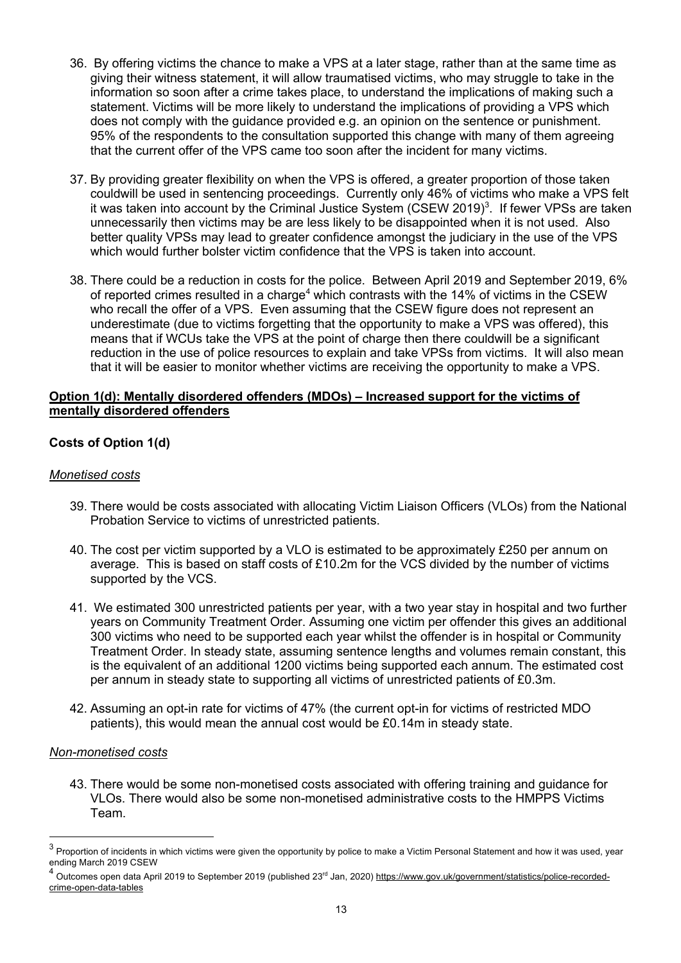- 36. By offering victims the chance to make a VPS at a later stage, rather than at the same time as giving their witness statement, it will allow traumatised victims, who may struggle to take in the information so soon after a crime takes place, to understand the implications of making such a statement. Victims will be more likely to understand the implications of providing a VPS which does not comply with the quidance provided e.g. an opinion on the sentence or punishment. does not comply with the guidance provided e.g. an opinion on the sentence or punishment.<br>95% of the respondents to the consultation supported this change with many of them agreeing that the current offer of the VPS came too soon after the incident for many victims.
- couldwill be used in sentencing proceedings. Currently only 46% of victims who make a VPS felt it was taken into account by the Criminal Justice System (CSEW 2019)<sup>3</sup>. If fewer VPSs are taken unnecessarily then victims may be are less likely to be disappointed when it is not used. Also better quality VPSs may lead to greater confidence amongst the judiciary in the use of the VPS which would further bolster victim confidence that the VPS is taken into account. 37. By providing greater flexibility on when the VPS is offered, a greater proportion of those taken
- 38. There could be a reduction in costs for the police. Between April 2019 and September 2019, 6% of reported crimes resulted in a charge<sup>4</sup> which contrasts with the 14% of victims in the CSEW who recall the offer of a VPS. Even assuming that the CSEW figure does not represent an means that if WCUs take the VPS at the point of charge then there couldwill be a significant underestimate (due to victims forgetting that the opportunity to make a VPS was offered), this reduction in the use of police resources to explain and take VPSs from victims. It will also mean that it will be easier to monitor whether victims are receiving the opportunity to make a VPS.

### **Option 1(d): Mentally disordered offenders (MDOs) – Increased support for the victims of mentally disordered offenders**

### **Costs of Option 1(d)**

#### *Monetised costs*

- 39. There would be costs associated with allocating Victim Liaison Officers (VLOs) from the National Probation Service to victims of unrestricted patients.
- 40. The cost per victim supported by a VLO is estimated to be approximately £250 per annum on average. This is based on staff costs of £10.2m for the VCS divided by the number of victims supported by the VCS.
- 41. We estimated 300 unrestricted patients per year, with a two year stay in hospital and two further years on Community Treatment Order. Assuming one victim per offender this gives an additional 300 victims who need to be supported each year whilst the offender is in hospital or Community Treatment Order. In steady state, assuming sentence lengths and volumes remain constant, this is the equivalent of an additional 1200 victims being supported each annum. The estimated cost per annum in steady state to supporting all victims of unrestricted patients of £0.3m.
- 42. Assuming an opt-in rate for victims of 47% (the current opt-in for victims of restricted MDO patients), this would mean the annual cost would be £0.14m in steady state.

#### *Non-monetised costs*

 43. There would be some non-monetised costs associated with offering training and guidance for VLOs. There would also be some non-monetised administrative costs to the HMPPS Victims Team.

 $^3$  Proportion of incidents in which victims were given the opportunity by police to make a Victim Personal Statement and how it was used, year ending March 2019 CSEW

<sup>&</sup>lt;sup>4</sup> Outcomes open data April 2019 to September 2019 (published 23<sup>rd</sup> Jan, 2020) <https://www.gov.uk/government/statistics/police-recorded>crime-open-data-tables crime-open-data-tables 13<br>13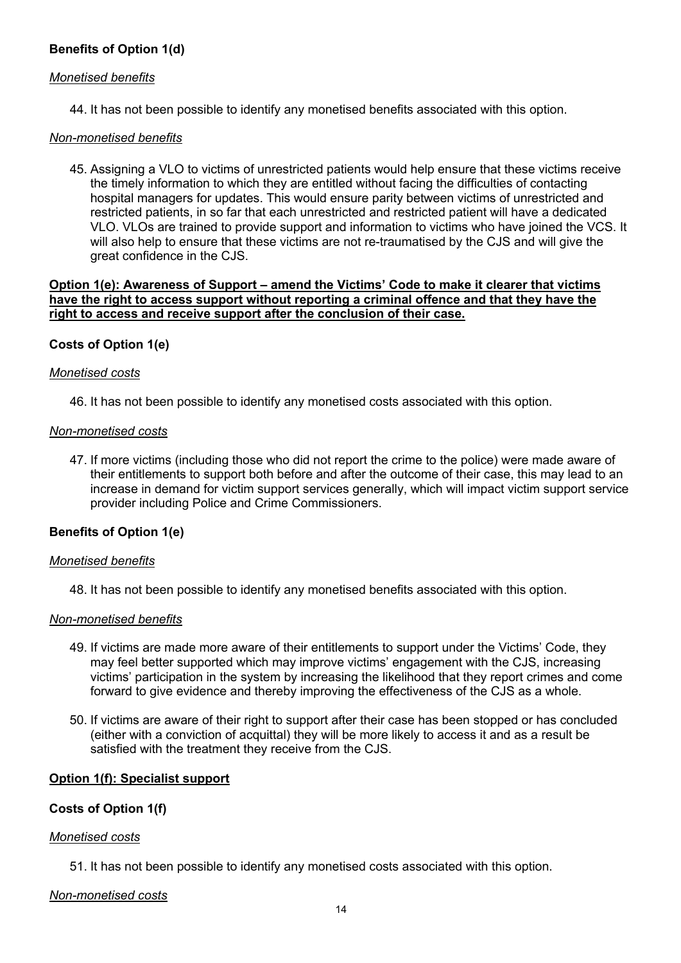### **Benefits of Option 1(d)**

#### *Monetised benefits*

44. It has not been possible to identify any monetised benefits associated with this option.

#### *Non-monetised benefits*

 45. Assigning a VLO to victims of unrestricted patients would help ensure that these victims receive hospital managers for updates. This would ensure parity between victims of unrestricted and VLO. VLOs are trained to provide support and information to victims who have joined the VCS. It will also help to ensure that these victims are not re-traumatised by the CJS and will give the the timely information to which they are entitled without facing the difficulties of contacting restricted patients, in so far that each unrestricted and restricted patient will have a dedicated great confidence in the CJS.

#### **Option 1(e): Awareness of Support – amend the Victims' Code to make it clearer that victims have the right to access support without reporting a criminal offence and that they have the right to access and receive support after the conclusion of their case.**

### **Costs of Option 1(e)**

#### *Monetised costs*

46. It has not been possible to identify any monetised costs associated with this option.

#### *Non-monetised costs*

 increase in demand for victim support services generally, which will impact victim support service 47. If more victims (including those who did not report the crime to the police) were made aware of their entitlements to support both before and after the outcome of their case, this may lead to an provider including Police and Crime Commissioners.

### **Benefits of Option 1(e)**

#### *Monetised benefits*

48. It has not been possible to identify any monetised benefits associated with this option.

### *Non-monetised benefits*

- may feel better supported which may improve victims' engagement with the CJS, increasing victims' participation in the system by increasing the likelihood that they report crimes and come 49. If victims are made more aware of their entitlements to support under the Victims' Code, they forward to give evidence and thereby improving the effectiveness of the CJS as a whole.
- (either with a conviction of acquittal) they will be more likely to access it and as a result be satisfied with the treatment they receive from the CJS. 50. If victims are aware of their right to support after their case has been stopped or has concluded

### **Option 1(f): Specialist support**

### **Costs of Option 1(f)**

#### *Monetised costs*

51. It has not been possible to identify any monetised costs associated with this option.

### *Non-monetised costs*